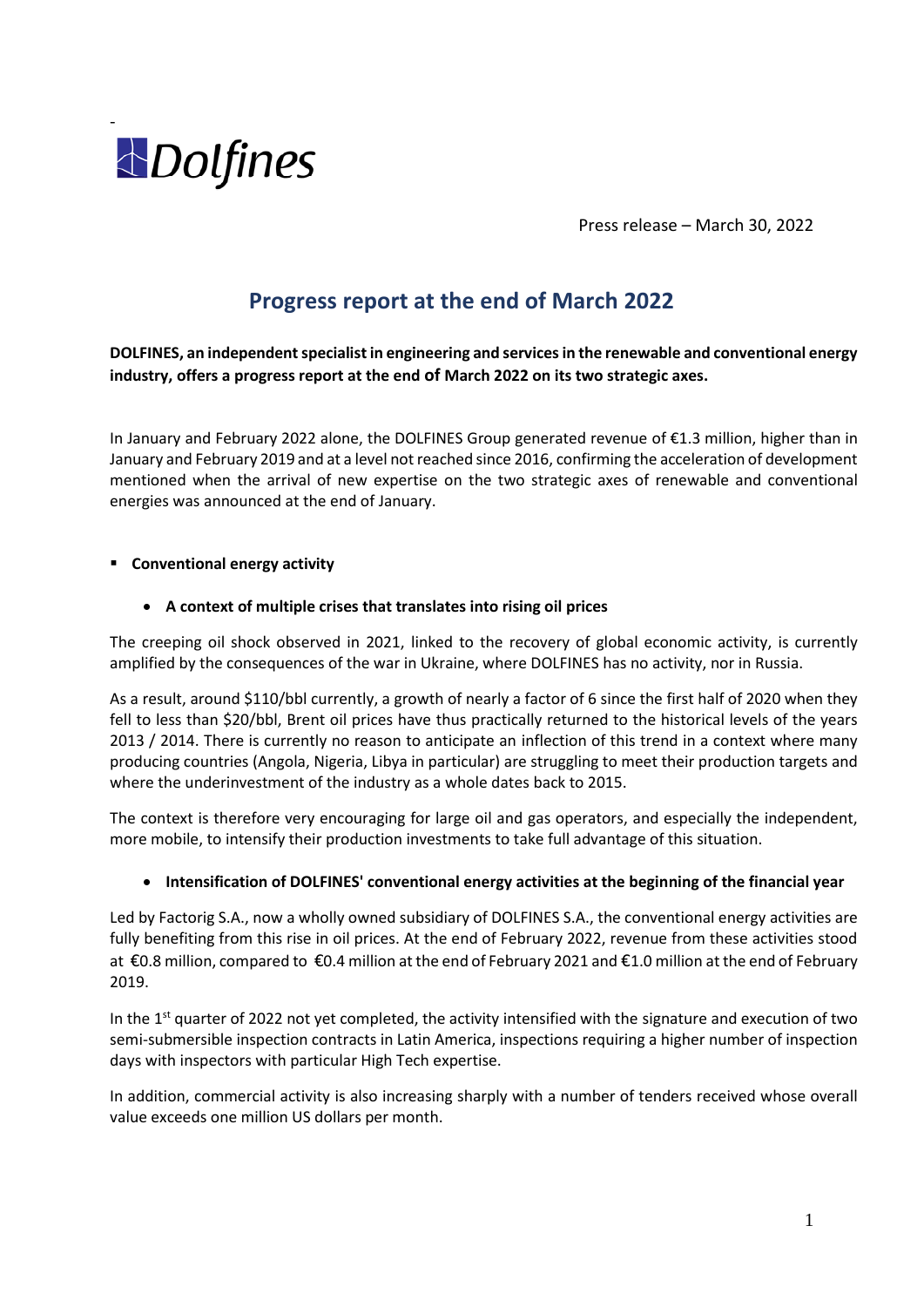

Press release – March 30, 2022

# **Progress report at the end of March 2022**

**DOLFINES, an independent specialist in engineering and services in the renewable and conventional energy industry, offers a progress report at the end of March 2022 on its two strategic axes.**

In January and February 2022 alone, the DOLFINES Group generated revenue of €1.3 million, higher than in January and February 2019 and at a level not reached since 2016, confirming the acceleration of development mentioned when the arrival of new expertise on the two strategic axes of renewable and conventional energies was announced at the end of January.

#### ▪ **Conventional energy activity**

# • **A context of multiple crises that translates into rising oil prices**

The creeping oil shock observed in 2021, linked to the recovery of global economic activity, is currently amplified by the consequences of the war in Ukraine, where DOLFINES has no activity, nor in Russia.

As a result, around \$110/bbl currently, a growth of nearly a factor of 6 since the first half of 2020 when they fell to less than \$20/bbl, Brent oil prices have thus practically returned to the historical levels of the years 2013 / 2014. There is currently no reason to anticipate an inflection of this trend in a context where many producing countries (Angola, Nigeria, Libya in particular) are struggling to meet their production targets and where the underinvestment of the industry as a whole dates back to 2015.

The context is therefore very encouraging for large oil and gas operators, and especially the independent, more mobile, to intensify their production investments to take full advantage of this situation.

#### • **Intensification of DOLFINES' conventional energy activities at the beginning of the financial year**

Led by Factorig S.A., now a wholly owned subsidiary of DOLFINES S.A., the conventional energy activities are fully benefiting from this rise in oil prices. At the end of February 2022, revenue from these activities stood at €0.8 million, compared to €0.4 million at the end of February 2021 and €1.0 million at the end of February 2019.

In the  $1<sup>st</sup>$  quarter of 2022 not yet completed, the activity intensified with the signature and execution of two semi-submersible inspection contracts in Latin America, inspections requiring a higher number of inspection days with inspectors with particular High Tech expertise.

In addition, commercial activity is also increasing sharply with a number of tenders received whose overall value exceeds one million US dollars per month.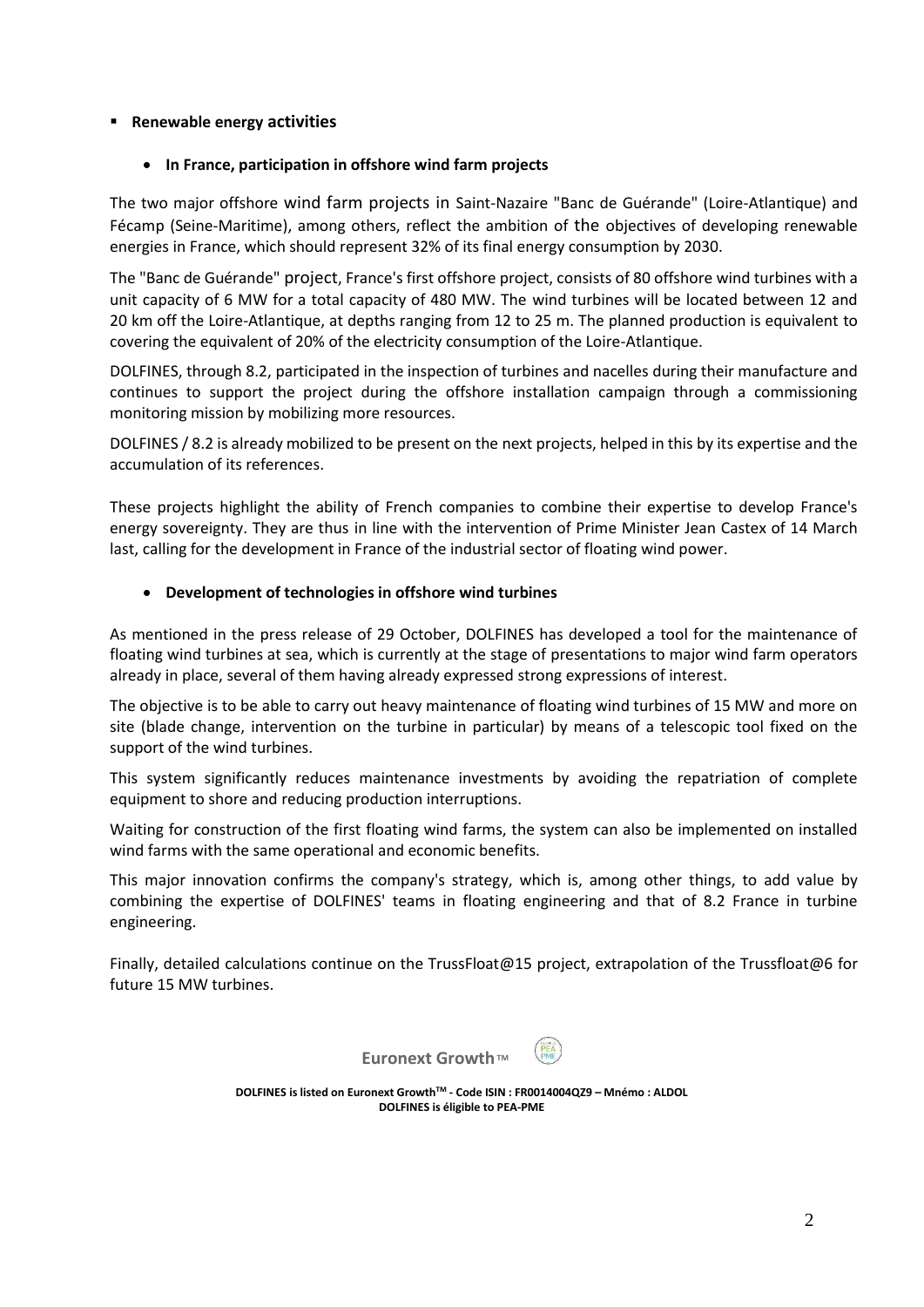# ▪ **Renewable energy activities**

# • **In France, participation in offshore wind farm projects**

The two major offshore wind farm projects in Saint-Nazaire "Banc de Guérande" (Loire-Atlantique) and Fécamp (Seine-Maritime), among others, reflect the ambition of the objectives of developing renewable energies in France, which should represent 32% of its final energy consumption by 2030.

The "Banc de Guérande" project, France's first offshore project, consists of 80 offshore wind turbines with a unit capacity of 6 MW for a total capacity of 480 MW. The wind turbines will be located between 12 and 20 km off the Loire-Atlantique, at depths ranging from 12 to 25 m. The planned production is equivalent to covering the equivalent of 20% of the electricity consumption of the Loire-Atlantique.

DOLFINES, through 8.2, participated in the inspection of turbines and nacelles during their manufacture and continues to support the project during the offshore installation campaign through a commissioning monitoring mission by mobilizing more resources.

DOLFINES / 8.2 is already mobilized to be present on the next projects, helped in this by its expertise and the accumulation of its references.

These projects highlight the ability of French companies to combine their expertise to develop France's energy sovereignty. They are thus in line with the intervention of Prime Minister Jean Castex of 14 March last, calling for the development in France of the industrial sector of floating wind power.

# • **Development of technologies in offshore wind turbines**

As mentioned in the press release of 29 October, DOLFINES has developed a tool for the maintenance of floating wind turbines at sea, which is currently at the stage of presentations to major wind farm operators already in place, several of them having already expressed strong expressions of interest.

The objective is to be able to carry out heavy maintenance of floating wind turbines of 15 MW and more on site (blade change, intervention on the turbine in particular) by means of a telescopic tool fixed on the support of the wind turbines.

This system significantly reduces maintenance investments by avoiding the repatriation of complete equipment to shore and reducing production interruptions.

Waiting for construction of the first floating wind farms, the system can also be implemented on installed wind farms with the same operational and economic benefits.

This major innovation confirms the company's strategy, which is, among other things, to add value by combining the expertise of DOLFINES' teams in floating engineering and that of 8.2 France in turbine engineering.

Finally, detailed calculations continue on the TrussFloat@15 project, extrapolation of the Trussfloat@6 for future 15 MW turbines.



**DOLFINES is listed on Euronext GrowthTM - Code ISIN : FR0014004QZ9 – Mnémo : ALDOL DOLFINES is éligible to PEA-PME**